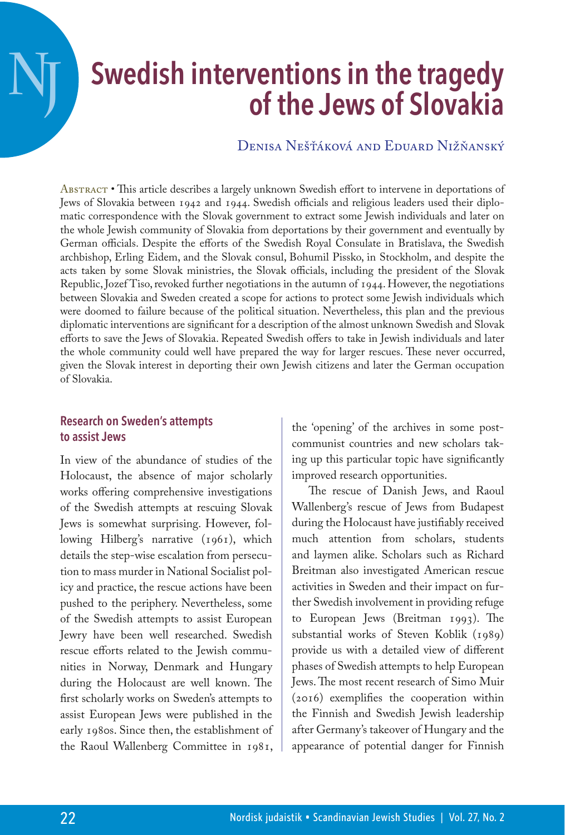# **Swedish interventions in the tragedy of the Jews of Slovakia**

Denisa Nešťáková and Eduard Nižňanský

Abstract • This article describes a largely unknown Swedish effort to intervene in deportations of Jews of Slovakia between 1942 and 1944. Swedish officials and religious leaders used their diplomatic correspondence with the Slovak government to extract some Jewish individuals and later on the whole Jewish community of Slovakia from deportations by their government and eventually by German officials. Despite the efforts of the Swedish Royal Consulate in Bratislava, the Swedish archbishop, Erling Eidem, and the Slovak consul, Bohumil Pissko, in Stockholm, and despite the acts taken by some Slovak ministries, the Slovak officials, including the president of the Slovak Republic, Jozef Tiso, revoked further negotiations in the autumn of 1944. However, the negotiations between Slovakia and Sweden created a scope for actions to protect some Jewish individuals which were doomed to failure because of the political situation. Nevertheless, this plan and the previous diplomatic interventions are significant for a description of the almost unknown Swedish and Slovak efforts to save the Jews of Slovakia. Repeated Swedish offers to take in Jewish individuals and later the whole community could well have prepared the way for larger rescues. These never occurred, given the Slovak interest in deporting their own Jewish citizens and later the German occupation of Slovakia.

## **Research on Sweden's attempts to assist Jews**

**NJ**

In view of the abundance of studies of the Holocaust, the absence of major scholarly works offering comprehensive investigations of the Swedish attempts at rescuing Slovak Jews is somewhat surprising. However, following Hilberg's narrative (1961), which details the step-wise escalation from persecution to mass murder in National Socialist policy and practice, the rescue actions have been pushed to the periphery. Nevertheless, some of the Swedish attempts to assist European Jewry have been well researched. Swedish rescue efforts related to the Jewish communities in Norway, Denmark and Hungary during the Holocaust are well known. The first scholarly works on Sweden's attempts to assist European Jews were published in the early 1980s. Since then, the establishment of the Raoul Wallenberg Committee in 1981, the 'opening' of the archives in some postcommunist countries and new scholars taking up this particular topic have significantly improved research opportunities.

The rescue of Danish Jews, and Raoul Wallenberg's rescue of Jews from Budapest during the Holocaust have justifiably received much attention from scholars, students and laymen alike. Scholars such as Richard Breitman also investigated American rescue activities in Sweden and their impact on further Swedish involvement in providing refuge to European Jews (Breitman 1993). The substantial works of Steven Koblik (1989) provide us with a detailed view of different phases of Swedish attempts to help European Jews. The most recent research of Simo Muir (2016) exemplifies the cooperation within the Finnish and Swedish Jewish leadership after Germany's takeover of Hungary and the appearance of potential danger for Finnish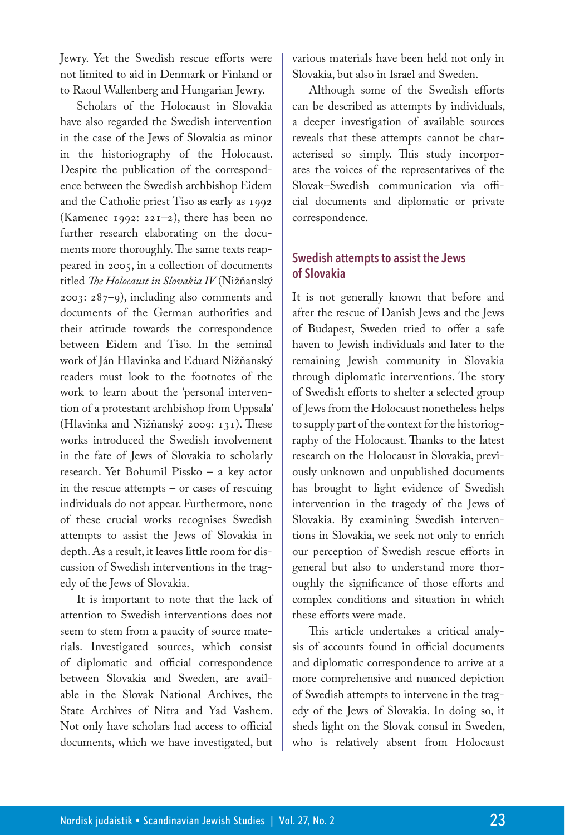Jewry. Yet the Swedish rescue efforts were not limited to aid in Denmark or Finland or to Raoul Wallenberg and Hungarian Jewry.

Scholars of the Holocaust in Slovakia have also regarded the Swedish intervention in the case of the Jews of Slovakia as minor in the historiography of the Holocaust. Despite the publication of the correspondence between the Swedish archbishop Eidem and the Catholic priest Tiso as early as 1992 (Kamenec 1992: 221–2), there has been no further research elaborating on the documents more thoroughly. The same texts reappeared in 2005, in a collection of documents titled *The Holocaust in Slovakia IV* (Nižňanský 2003: 287–9), including also comments and documents of the German authorities and their attitude towards the correspondence between Eidem and Tiso. In the seminal work of Ján Hlavinka and Eduard Nižňanský readers must look to the footnotes of the work to learn about the 'personal intervention of a protestant archbishop from Uppsala' (Hlavinka and Nižňanský 2009: 131). These works introduced the Swedish involvement in the fate of Jews of Slovakia to scholarly research. Yet Bohumil Pissko – a key actor in the rescue attempts – or cases of rescuing individuals do not appear. Furthermore, none of these crucial works recognises Swedish attempts to assist the Jews of Slovakia in depth. As a result, it leaves little room for discussion of Swedish interventions in the tragedy of the Jews of Slovakia.

It is important to note that the lack of attention to Swedish interventions does not seem to stem from a paucity of source materials. Investigated sources, which consist of diplomatic and official correspondence between Slovakia and Sweden, are available in the Slovak National Archives, the State Archives of Nitra and Yad Vashem. Not only have scholars had access to official documents, which we have investigated, but various materials have been held not only in Slovakia, but also in Israel and Sweden.

Although some of the Swedish efforts can be described as attempts by individuals, a deeper investigation of available sources reveals that these attempts cannot be characterised so simply. This study incorporates the voices of the representatives of the Slovak–Swedish communication via official documents and diplomatic or private correspondence.

# **Swedish attempts to assist the Jews of Slovakia**

It is not generally known that before and after the rescue of Danish Jews and the Jews of Budapest, Sweden tried to offer a safe haven to Jewish individuals and later to the remaining Jewish community in Slovakia through diplomatic interventions. The story of Swedish efforts to shelter a selected group of Jews from the Holocaust nonetheless helps to supply part of the context for the historiography of the Holocaust. Thanks to the latest research on the Holocaust in Slovakia, previously unknown and unpublished documents has brought to light evidence of Swedish intervention in the tragedy of the Jews of Slovakia. By examining Swedish interventions in Slovakia, we seek not only to enrich our perception of Swedish rescue efforts in general but also to understand more thoroughly the significance of those efforts and complex conditions and situation in which these efforts were made.

This article undertakes a critical analysis of accounts found in official documents and diplomatic correspondence to arrive at a more comprehensive and nuanced depiction of Swedish attempts to intervene in the tragedy of the Jews of Slovakia. In doing so, it sheds light on the Slovak consul in Sweden, who is relatively absent from Holocaust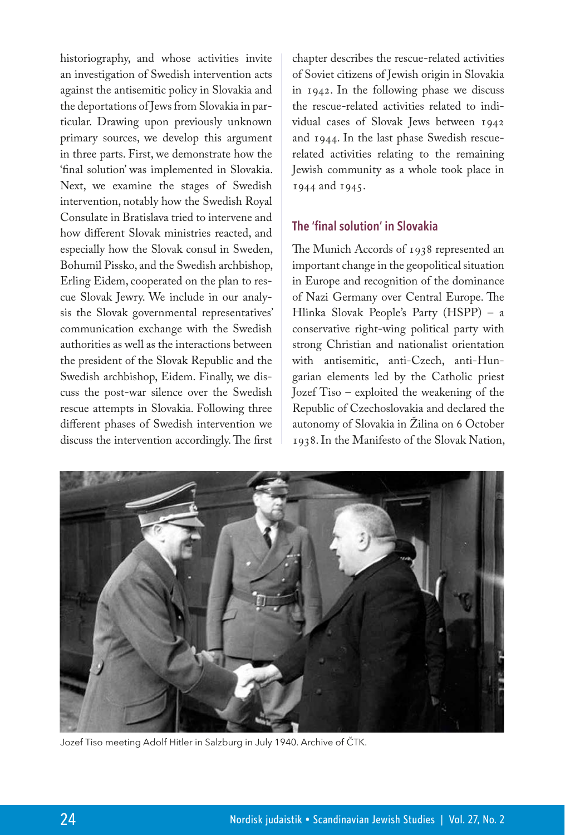historiography, and whose activities invite an investigation of Swedish intervention acts against the antisemitic policy in Slovakia and the deportations of Jews from Slovakia in particular. Drawing upon previously unknown primary sources, we develop this argument in three parts. First, we demonstrate how the 'final solution' was implemented in Slovakia. Next, we examine the stages of Swedish intervention, notably how the Swedish Royal Consulate in Bratislava tried to intervene and how different Slovak ministries reacted, and especially how the Slovak consul in Sweden, Bohumil Pissko, and the Swedish archbishop, Erling Eidem, cooperated on the plan to rescue Slovak Jewry. We include in our analysis the Slovak governmental representatives' communication exchange with the Swedish authorities as well as the interactions between the president of the Slovak Republic and the Swedish archbishop, Eidem. Finally, we discuss the post-war silence over the Swedish rescue attempts in Slovakia. Following three different phases of Swedish intervention we discuss the intervention accordingly. The first

chapter describes the rescue-related activities of Soviet citizens of Jewish origin in Slovakia in 1942. In the following phase we discuss the rescue-related activities related to individual cases of Slovak Jews between 1942 and 1944. In the last phase Swedish rescuerelated activities relating to the remaining Jewish community as a whole took place in 1944 and 1945.

## **The 'final solution' in Slovakia**

The Munich Accords of 1938 represented an important change in the geopolitical situation in Europe and recognition of the dominance of Nazi Germany over Central Europe. The Hlinka Slovak People's Party (HSPP) – a conservative right-wing political party with strong Christian and nationalist orientation with antisemitic, anti-Czech, anti-Hungarian elements led by the Catholic priest Jozef Tiso – exploited the weakening of the Republic of Czechoslovakia and declared the autonomy of Slovakia in Žilina on 6 October 1938. In the Manifesto of the Slovak Nation,



Jozef Tiso meeting Adolf Hitler in Salzburg in July 1940. Archive of ČTK.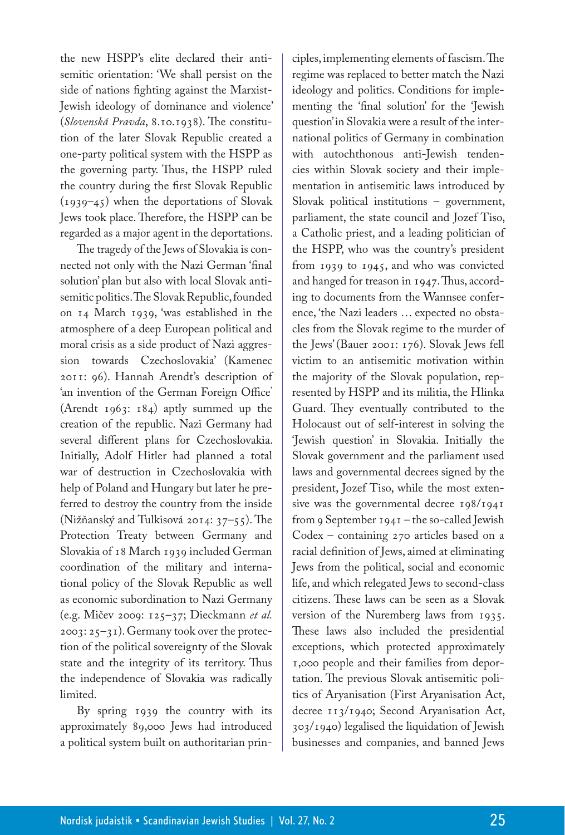the new HSPP's elite declared their antisemitic orientation: 'We shall persist on the side of nations fighting against the Marxist-Jewish ideology of dominance and violence' (*Slovenská Pravda*, 8.10.1938). The constitution of the later Slovak Republic created a one-party political system with the HSPP as the governing party. Thus, the HSPP ruled the country during the first Slovak Republic (1939–45) when the deportations of Slovak Jews took place. Therefore, the HSPP can be regarded as a major agent in the deportations.

The tragedy of the Jews of Slovakia is connected not only with the Nazi German 'final solution' plan but also with local Slovak antisemitic politics. The Slovak Republic, founded on 14 March 1939, 'was established in the atmosphere of a deep European political and moral crisis as a side product of Nazi aggression towards Czechoslovakia' (Kamenec 2011: 96). Hannah Arendt's description of 'an invention of the German Foreign Office' (Arendt 1963: 184) aptly summed up the creation of the republic. Nazi Germany had several different plans for Czechoslovakia. Initially, Adolf Hitler had planned a total war of destruction in Czechoslovakia with help of Poland and Hungary but later he preferred to destroy the country from the inside (Nižňanský and Tulkisová 2014: 37–55). The Protection Treaty between Germany and Slovakia of 18 March 1939 included German coordination of the military and international policy of the Slovak Republic as well as economic subordination to Nazi Germany (e.g. Mičev 2009: 125–37; Dieckmann *et al.*  2003: 25–31). Germany took over the protection of the political sovereignty of the Slovak state and the integrity of its territory. Thus the independence of Slovakia was radically limited.

By spring 1939 the country with its approximately 89,000 Jews had introduced a political system built on authoritarian principles, implementing elements of fascism. The regime was replaced to better match the Nazi ideology and politics. Conditions for implementing the 'final solution' for the 'Jewish question' in Slovakia were a result of the international politics of Germany in combination with autochthonous anti-Jewish tendencies within Slovak society and their implementation in antisemitic laws introduced by Slovak political institutions – government, parliament, the state council and Jozef Tiso, a Catholic priest, and a leading politician of the HSPP, who was the country's president from 1939 to 1945, and who was convicted and hanged for treason in 1947. Thus, according to documents from the Wannsee conference, 'the Nazi leaders … expected no obstacles from the Slovak regime to the murder of the Jews'(Bauer 2001: 176). Slovak Jews fell victim to an antisemitic motivation within the majority of the Slovak population, represented by HSPP and its militia, the Hlinka Guard. They eventually contributed to the Holocaust out of self-interest in solving the 'Jewish question' in Slovakia. Initially the Slovak government and the parliament used laws and governmental decrees signed by the president, Jozef Tiso, while the most extensive was the governmental decree 198/1941 from 9 September 1941 – the so-called Jewish Codex – containing 270 articles based on a racial definition of Jews, aimed at eliminating Jews from the political, social and economic life, and which relegated Jews to second-class citizens. These laws can be seen as a Slovak version of the Nuremberg laws from 1935. These laws also included the presidential exceptions, which protected approximately 1,000 people and their families from deportation. The previous Slovak antisemitic politics of Aryanisation (First Aryanisation Act, decree 113/1940; Second Aryanisation Act, 303/1940) legalised the liquidation of Jewish businesses and companies, and banned Jews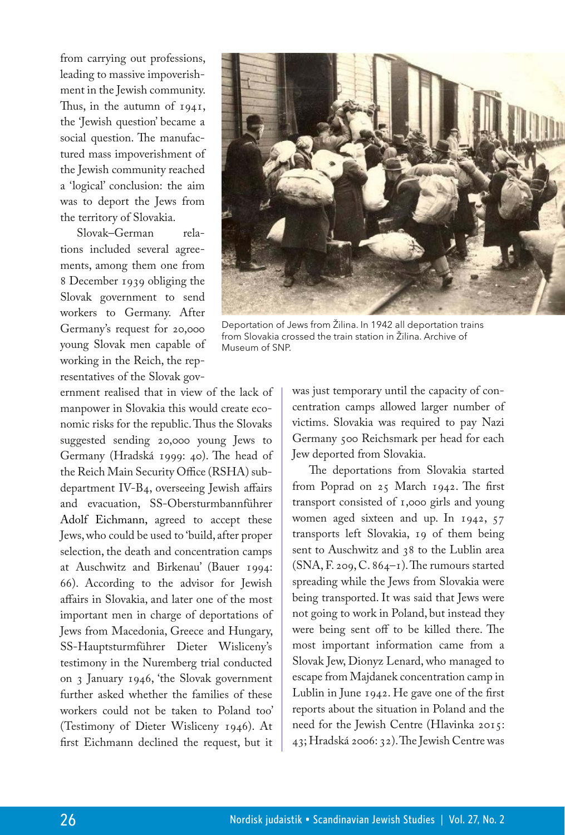from carrying out professions, leading to massive impoverishment in the Jewish community. Thus, in the autumn of  $1941$ , the 'Jewish question' became a social question. The manufactured mass impoverishment of the Jewish community reached a 'logical' conclusion: the aim was to deport the Jews from the territory of Slovakia.

Slovak–German relations included several agreements, among them one from 8 December 1939 obliging the Slovak government to send workers to Germany. After Germany's request for 20,000 young Slovak men capable of working in the Reich, the representatives of the Slovak gov-

ernment realised that in view of the lack of manpower in Slovakia this would create economic risks for the republic. Thus the Slovaks suggested sending 20,000 young Jews to Germany (Hradská 1999: 40). The head of the Reich Main Security Office (RSHA) subdepartment IV-B4, overseeing Jewish affairs and evacuation, SS-Obersturmbannführer Adolf Eichmann, agreed to accept these Jews, who could be used to 'build, after proper selection, the death and concentration camps at Auschwitz and Birkenau' (Bauer 1994: 66). According to the advisor for Jewish affairs in Slovakia, and later one of the most important men in charge of deportations of Jews from Macedonia, Greece and Hungary, SS-Hauptsturmführer Dieter Wisliceny's testimony in the Nuremberg trial conducted on 3 January 1946, 'the Slovak government further asked whether the families of these workers could not be taken to Poland too' (Testimony of Dieter Wisliceny 1946). At first Eichmann declined the request, but it



Deportation of Jews from Žilina. In 1942 all deportation trains from Slovakia crossed the train station in Žilina. Archive of Museum of SNP.

was just temporary until the capacity of concentration camps allowed larger number of victims. Slovakia was required to pay Nazi Germany 500 Reichsmark per head for each Jew deported from Slovakia.

The deportations from Slovakia started from Poprad on 25 March 1942. The first transport consisted of 1,000 girls and young women aged sixteen and up. In 1942, 57 transports left Slovakia, 19 of them being sent to Auschwitz and 38 to the Lublin area (SNA, F. 209, C. 864–1). The rumours started spreading while the Jews from Slovakia were being transported. It was said that Jews were not going to work in Poland, but instead they were being sent off to be killed there. The most important information came from a Slovak Jew, Dionyz Lenard, who managed to escape from Majdanek concentration camp in Lublin in June 1942. He gave one of the first reports about the situation in Poland and the need for the Jewish Centre (Hlavinka 2015: 43; Hradská 2006: 32). The Jewish Centre was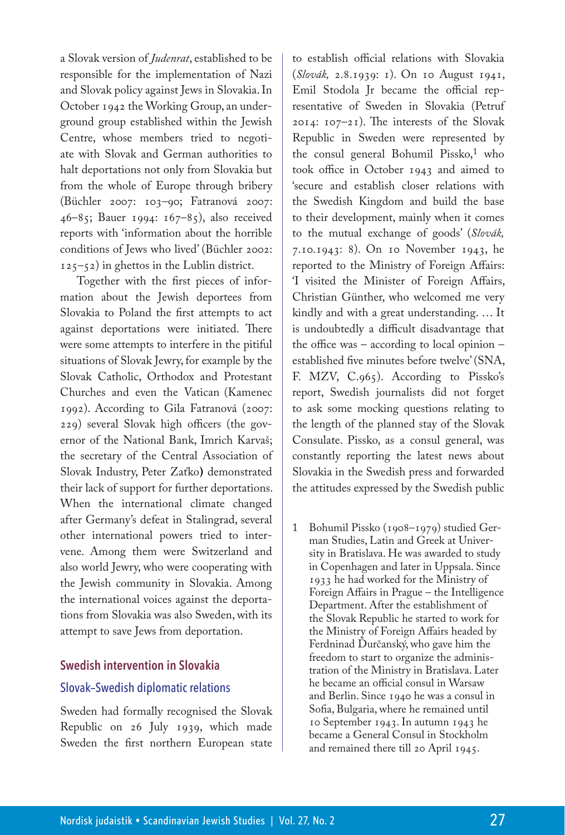a Slovak version of *Judenrat*, established to be responsible for the implementation of Nazi and Slovak policy against Jews in Slovakia. In October 1942 the Working Group, an underground group established within the Jewish Centre, whose members tried to negotiate with Slovak and German authorities to halt deportations not only from Slovakia but from the whole of Europe through bribery (Büchler 2007: 103–90; Fatranová 2007: 46–85; Bauer 1994: 167–85), also received reports with 'information about the horrible conditions of Jews who lived' (Büchler 2002:  $125-52$ ) in ghettos in the Lublin district.

Together with the first pieces of information about the Jewish deportees from Slovakia to Poland the first attempts to act against deportations were initiated. There were some attempts to interfere in the pitiful situations of Slovak Jewry, for example by the Slovak Catholic, Orthodox and Protestant Churches and even the Vatican (Kamenec 1992). According to Gila Fatranová (2007: 229) several Slovak high officers (the governor of the National Bank, Imrich Karvaš; the secretary of the Central Association of Slovak Industry, Peter Zaťko**)** demonstrated their lack of support for further deportations. When the international climate changed after Germany's defeat in Stalingrad, several other international powers tried to intervene. Among them were Switzerland and also world Jewry, who were cooperating with the Jewish community in Slovakia. Among the international voices against the deportations from Slovakia was also Sweden, with its attempt to save Jews from deportation.

#### **Swedish intervention in Slovakia**

#### Slovak–Swedish diplomatic relations

Sweden had formally recognised the Slovak Republic on 26 July 1939, which made Sweden the first northern European state to establish official relations with Slovakia (*Slovák,* 2.8.1939: 1). On 10 August 1941, Emil Stodola Jr became the official representative of Sweden in Slovakia (Petruf 2014: 107–21). The interests of the Slovak Republic in Sweden were represented by the consul general Bohumil Pissko,<sup>1</sup> who took office in October 1943 and aimed to 'secure and establish closer relations with the Swedish Kingdom and build the base to their development, mainly when it comes to the mutual exchange of goods' (*Slovák,* 7.10.1943: 8). On 10 November 1943, he reported to the Ministry of Foreign Affairs: 'I visited the Minister of Foreign Affairs, Christian Günther, who welcomed me very kindly and with a great understanding. … It is undoubtedly a difficult disadvantage that the office was – according to local opinion – established five minutes before twelve' (SNA, F. MZV, C.965). According to Pissko's report, Swedish journalists did not forget to ask some mocking questions relating to the length of the planned stay of the Slovak Consulate. Pissko, as a consul general, was constantly reporting the latest news about Slovakia in the Swedish press and forwarded the attitudes expressed by the Swedish public

1 Bohumil Pissko (1908–1979) studied German Studies, Latin and Greek at University in Bratislava. He was awarded to study in Copenhagen and later in Uppsala. Since 1933 he had worked for the Ministry of Foreign Affairs in Prague – the Intelligence Department. After the establishment of the Slovak Republic he started to work for the Ministry of Foreign Affairs headed by Ferdninad Ďurčanský, who gave him the freedom to start to organize the administration of the Ministry in Bratislava. Later he became an official consul in Warsaw and Berlin. Since 1940 he was a consul in Sofia, Bulgaria, where he remained until 10 September 1943. In autumn 1943 he became a General Consul in Stockholm and remained there till 20 April 1945.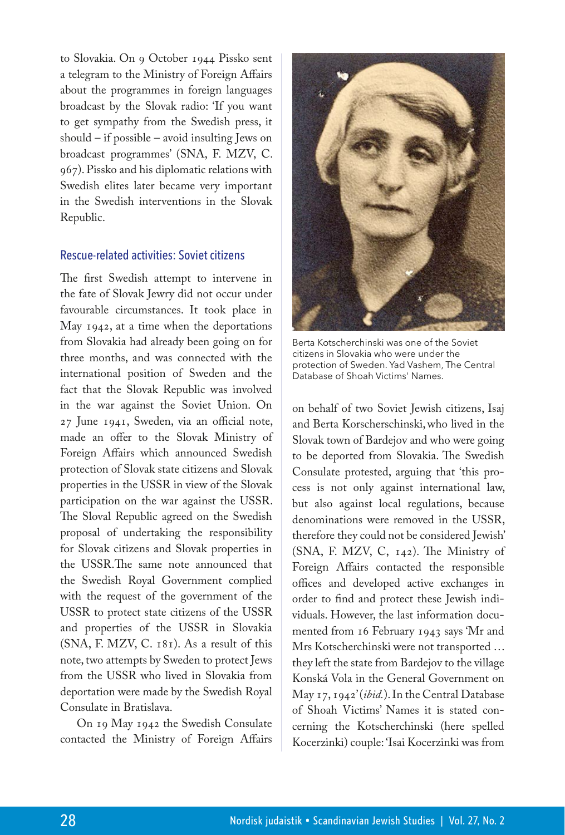to Slovakia. On 9 October 1944 Pissko sent a telegram to the Ministry of Foreign Affairs about the programmes in foreign languages broadcast by the Slovak radio: 'If you want to get sympathy from the Swedish press, it should – if possible – avoid insulting Jews on broadcast programmes' (SNA, F. MZV, C. 967). Pissko and his diplomatic relations with Swedish elites later became very important in the Swedish interventions in the Slovak Republic.

#### Rescue-related activities: Soviet citizens

The first Swedish attempt to intervene in the fate of Slovak Jewry did not occur under favourable circumstances. It took place in May 1942, at a time when the deportations from Slovakia had already been going on for three months, and was connected with the international position of Sweden and the fact that the Slovak Republic was involved in the war against the Soviet Union. On 27 June 1941, Sweden, via an official note, made an offer to the Slovak Ministry of Foreign Affairs which announced Swedish protection of Slovak state citizens and Slovak properties in the USSR in view of the Slovak participation on the war against the USSR. The Sloval Republic agreed on the Swedish proposal of undertaking the responsibility for Slovak citizens and Slovak properties in the <USSR.The> same note announced that the Swedish Royal Government complied with the request of the government of the USSR to protect state citizens of the USSR and properties of the USSR in Slovakia (SNA, F. MZV, C. 181). As a result of this note, two attempts by Sweden to protect Jews from the USSR who lived in Slovakia from deportation were made by the Swedish Royal Consulate in Bratislava.

On 19 May 1942 the Swedish Consulate contacted the Ministry of Foreign Affairs



Berta Kotscherchinski was one of the Soviet citizens in Slovakia who were under the protection of Sweden. Yad Vashem, The Central Database of Shoah Victims' Names.

on behalf of two Soviet Jewish citizens, Isaj and Berta Korscherschinski,who lived in the Slovak town of Bardejov and who were going to be deported from Slovakia. The Swedish Consulate protested, arguing that 'this process is not only against international law, but also against local regulations, because denominations were removed in the USSR, therefore they could not be considered Jewish' (SNA, F. MZV, C, 142). The Ministry of Foreign Affairs contacted the responsible offices and developed active exchanges in order to find and protect these Jewish individuals. However, the last information documented from 16 February 1943 says 'Mr and Mrs Kotscherchinski were not transported … they left the state from Bardejov to the village Konská Vola in the General Government on May 17, 1942' (*ibid.*). In the Central Database of Shoah Victims' Names it is stated concerning the Kotscherchinski (here spelled Kocerzinki) couple: 'Isai Kocerzinki was from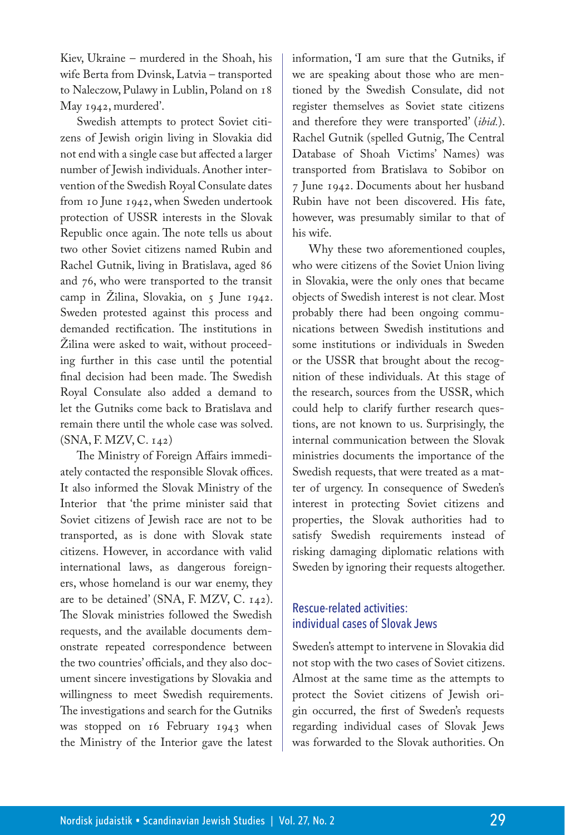Kiev, Ukraine – murdered in the Shoah, his wife Berta from Dvinsk, Latvia – transported to Naleczow, Pulawy in Lublin, Poland on 18 May 1942, murdered'.

Swedish attempts to protect Soviet citizens of Jewish origin living in Slovakia did not end with a single case but affected a larger number of Jewish individuals. Another intervention of the Swedish Royal Consulate dates from 10 June 1942, when Sweden undertook protection of USSR interests in the Slovak Republic once again. The note tells us about two other Soviet citizens named Rubin and Rachel Gutnik, living in Bratislava, aged 86 and 76, who were transported to the transit camp in Žilina, Slovakia, on  $\zeta$  June 1942. Sweden protested against this process and demanded rectification. The institutions in Žilina were asked to wait, without proceeding further in this case until the potential final decision had been made. The Swedish Royal Consulate also added a demand to let the Gutniks come back to Bratislava and remain there until the whole case was solved. (SNA, F. MZV, C. 142)

The Ministry of Foreign Affairs immediately contacted the responsible Slovak offices. It also informed the Slovak Ministry of the Interior that 'the prime minister said that Soviet citizens of Jewish race are not to be transported, as is done with Slovak state citizens. However, in accordance with valid international laws, as dangerous foreigners, whose homeland is our war enemy, they are to be detained' (SNA, F. MZV, C. 142). The Slovak ministries followed the Swedish requests, and the available documents demonstrate repeated correspondence between the two countries' officials, and they also document sincere investigations by Slovakia and willingness to meet Swedish requirements. The investigations and search for the Gutniks was stopped on 16 February 1943 when the Ministry of the Interior gave the latest

information, 'I am sure that the Gutniks, if we are speaking about those who are mentioned by the Swedish Consulate, did not register themselves as Soviet state citizens and therefore they were transported' (*ibid.*). Rachel Gutnik (spelled Gutnig, The Central Database of Shoah Victims' Names) was transported from Bratislava to Sobibor on 7 June 1942. Documents about her husband Rubin have not been discovered. His fate, however, was presumably similar to that of his wife.

Why these two aforementioned couples, who were citizens of the Soviet Union living in Slovakia, were the only ones that became objects of Swedish interest is not clear. Most probably there had been ongoing communications between Swedish institutions and some institutions or individuals in Sweden or the USSR that brought about the recognition of these individuals. At this stage of the research, sources from the USSR, which could help to clarify further research questions, are not known to us. Surprisingly, the internal communication between the Slovak ministries documents the importance of the Swedish requests, that were treated as a matter of urgency. In consequence of Sweden's interest in protecting Soviet citizens and properties, the Slovak authorities had to satisfy Swedish requirements instead of risking damaging diplomatic relations with Sweden by ignoring their requests altogether.

# Rescue-related activities: individual cases of Slovak Jews

Sweden's attempt to intervene in Slovakia did not stop with the two cases of Soviet citizens. Almost at the same time as the attempts to protect the Soviet citizens of Jewish origin occurred, the first of Sweden's requests regarding individual cases of Slovak Jews was forwarded to the Slovak authorities. On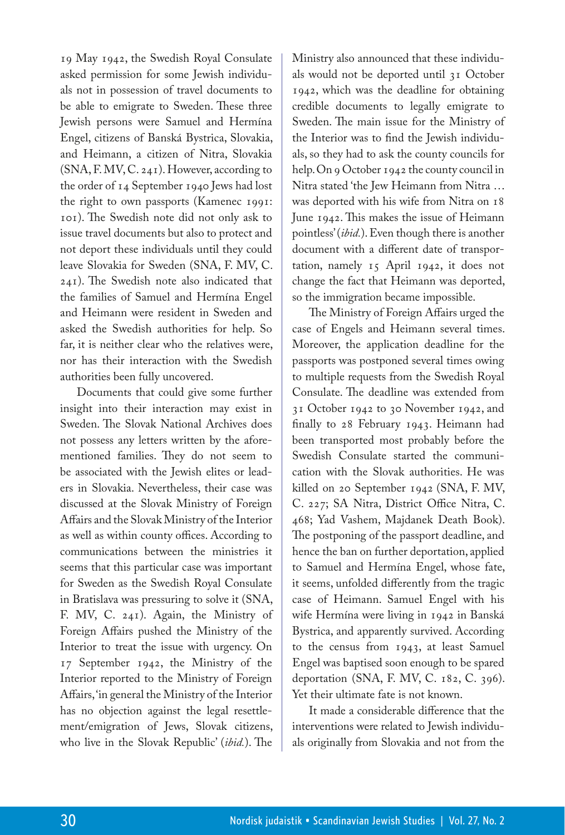19 May 1942, the Swedish Royal Consulate asked permission for some Jewish individuals not in possession of travel documents to be able to emigrate to Sweden. These three Jewish persons were Samuel and Hermína Engel, citizens of Banská Bystrica, Slovakia, and Heimann, a citizen of Nitra, Slovakia (SNA, F. MV, C. 241). However, according to the order of 14 September 1940 Jews had lost the right to own passports (Kamenec 1991: 101). The Swedish note did not only ask to issue travel documents but also to protect and not deport these individuals until they could leave Slovakia for Sweden (SNA, F. MV, C. 241). The Swedish note also indicated that the families of Samuel and Hermína Engel and Heimann were resident in Sweden and asked the Swedish authorities for help. So far, it is neither clear who the relatives were, nor has their interaction with the Swedish authorities been fully uncovered.

Documents that could give some further insight into their interaction may exist in Sweden. The Slovak National Archives does not possess any letters written by the aforementioned families. They do not seem to be associated with the Jewish elites or leaders in Slovakia. Nevertheless, their case was discussed at the Slovak Ministry of Foreign Affairs and the Slovak Ministry of the Interior as well as within county offices. According to communications between the ministries it seems that this particular case was important for Sweden as the Swedish Royal Consulate in Bratislava was pressuring to solve it (SNA, F. MV, C. 241). Again, the Ministry of Foreign Affairs pushed the Ministry of the Interior to treat the issue with urgency. On 17 September 1942, the Ministry of the Interior reported to the Ministry of Foreign Affairs, 'in general the Ministry of the Interior has no objection against the legal resettlement/emigration of Jews, Slovak citizens, who live in the Slovak Republic' (*ibid.*). The Ministry also announced that these individuals would not be deported until 31 October 1942, which was the deadline for obtaining credible documents to legally emigrate to Sweden. The main issue for the Ministry of the Interior was to find the Jewish individuals, so they had to ask the county councils for help. On 9 October 1942 the county council in Nitra stated 'the Jew Heimann from Nitra … was deported with his wife from Nitra on 18 June 1942. This makes the issue of Heimann pointless' (*ibid.*). Even though there is another document with a different date of transportation, namely 15 April 1942, it does not change the fact that Heimann was deported, so the immigration became impossible.

The Ministry of Foreign Affairs urged the case of Engels and Heimann several times. Moreover, the application deadline for the passports was postponed several times owing to multiple requests from the Swedish Royal Consulate. The deadline was extended from 31 October 1942 to 30 November 1942, and finally to 28 February 1943. Heimann had been transported most probably before the Swedish Consulate started the communication with the Slovak authorities. He was killed on 20 September 1942 (SNA, F. MV, C. 227; SA Nitra, District Office Nitra, C. 468; Yad Vashem, Majdanek Death Book). The postponing of the passport deadline, and hence the ban on further deportation, applied to Samuel and Hermína Engel, whose fate, it seems, unfolded differently from the tragic case of Heimann. Samuel Engel with his wife Hermína were living in 1942 in Banská Bystrica, and apparently survived. According to the census from 1943, at least Samuel Engel was baptised soon enough to be spared deportation (SNA, F. MV, C. 182, C. 396). Yet their ultimate fate is not known.

It made a considerable difference that the interventions were related to Jewish individuals originally from Slovakia and not from the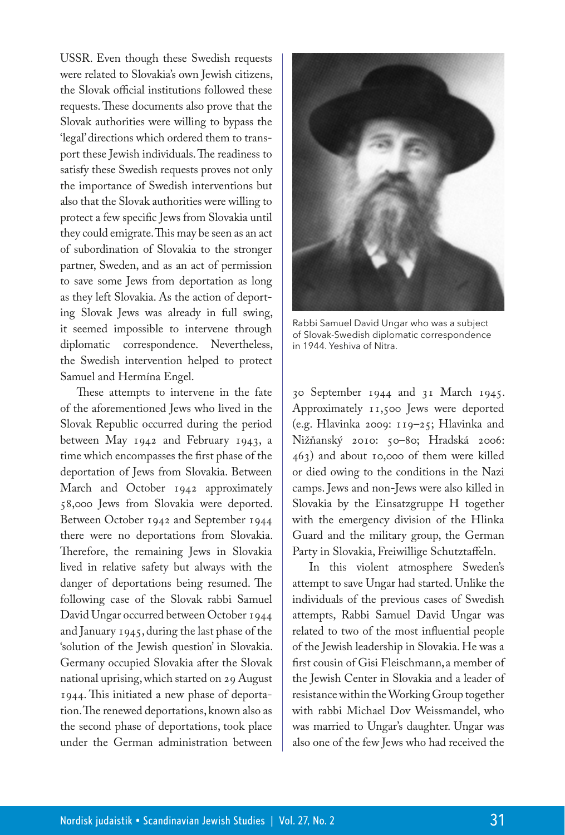USSR. Even though these Swedish requests were related to Slovakia's own Jewish citizens, the Slovak official institutions followed these requests. These documents also prove that the Slovak authorities were willing to bypass the 'legal' directions which ordered them to transport these Jewish individuals. The readiness to satisfy these Swedish requests proves not only the importance of Swedish interventions but also that the Slovak authorities were willing to protect a few specific Jews from Slovakia until they could emigrate. This may be seen as an act of subordination of Slovakia to the stronger partner, Sweden, and as an act of permission to save some Jews from deportation as long as they left Slovakia. As the action of deporting Slovak Jews was already in full swing, it seemed impossible to intervene through diplomatic correspondence. Nevertheless, the Swedish intervention helped to protect Samuel and Hermína Engel.

These attempts to intervene in the fate of the aforementioned Jews who lived in the Slovak Republic occurred during the period between May 1942 and February 1943, a time which encompasses the first phase of the deportation of Jews from Slovakia. Between March and October 1942 approximately 58,000 Jews from Slovakia were deported. Between October 1942 and September 1944 there were no deportations from Slovakia. Therefore, the remaining Jews in Slovakia lived in relative safety but always with the danger of deportations being resumed. The following case of the Slovak rabbi Samuel David Ungar occurred between October 1944 and January 1945, during the last phase of the 'solution of the Jewish question' in Slovakia. Germany occupied Slovakia after the Slovak national uprising, which started on 29 August 1944. This initiated a new phase of deportation. The renewed deportations, known also as the second phase of deportations, took place under the German administration between



Rabbi Samuel David Ungar who was a subject of Slovak-Swedish diplomatic correspondence in 1944. Yeshiva of Nitra.

30 September 1944 and 31 March 1945. Approximately 11,500 Jews were deported (e.g. Hlavinka 2009: 119–25; Hlavinka and Nižňanský 2010: 50–80; Hradská 2006: 463) and about 10,000 of them were killed or died owing to the conditions in the Nazi camps. Jews and non-Jews were also killed in Slovakia by the Einsatzgruppe H together with the emergency division of the Hlinka Guard and the military group, the German Party in Slovakia, Freiwillige Schutztaffeln.

In this violent atmosphere Sweden's attempt to save Ungar had started. Unlike the individuals of the previous cases of Swedish attempts, Rabbi Samuel David Ungar was related to two of the most influential people of the Jewish leadership in Slovakia. He was a first cousin of Gisi Fleischmann,a member of the Jewish Center in Slovakia and a leader of resistance within the Working Group together with rabbi Michael Dov Weissmandel, who was married to Ungar's daughter. Ungar was also one of the few Jews who had received the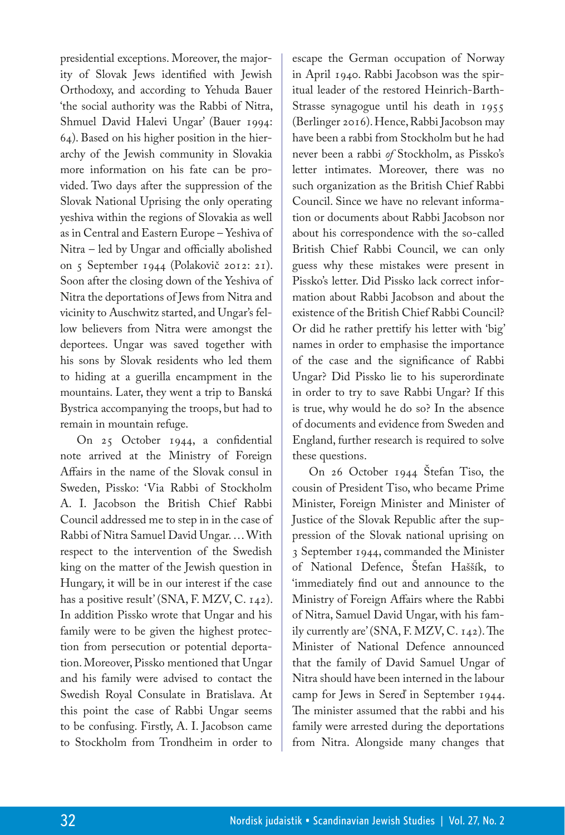presidential exceptions. Moreover, the majority of Slovak Jews identified with Jewish Orthodoxy, and according to Yehuda Bauer 'the social authority was the Rabbi of Nitra, Shmuel David Halevi Ungar' (Bauer 1994: 64). Based on his higher position in the hierarchy of the Jewish community in Slovakia more information on his fate can be provided. Two days after the suppression of the Slovak National Uprising the only operating yeshiva within the regions of Slovakia as well as in Central and Eastern Europe – Yeshiva of Nitra – led by Ungar and officially abolished on 5 September 1944 (Polakovič 2012: 21). Soon after the closing down of the Yeshiva of Nitra the deportations of Jews from Nitra and vicinity to Auschwitz started, and Ungar's fellow believers from Nitra were amongst the deportees. Ungar was saved together with his sons by Slovak residents who led them to hiding at a guerilla encampment in the mountains. Later, they went a trip to Banská Bystrica accompanying the troops, but had to remain in mountain refuge.

On 25 October 1944, a confidential note arrived at the Ministry of Foreign Affairs in the name of the Slovak consul in Sweden, Pissko: 'Via Rabbi of Stockholm A. I. Jacobson the British Chief Rabbi Council addressed me to step in in the case of Rabbi of Nitra Samuel David Ungar. … With respect to the intervention of the Swedish king on the matter of the Jewish question in Hungary, it will be in our interest if the case has a positive result' (SNA, F. MZV, C. 142). In addition Pissko wrote that Ungar and his family were to be given the highest protection from persecution or potential deportation. Moreover, Pissko mentioned that Ungar and his family were advised to contact the Swedish Royal Consulate in Bratislava. At this point the case of Rabbi Ungar seems to be confusing. Firstly, A. I. Jacobson came to Stockholm from Trondheim in order to

escape the German occupation of Norway in April 1940. Rabbi Jacobson was the spiritual leader of the restored Heinrich-Barth-Strasse synagogue until his death in 1955 (Berlinger 2016). Hence, Rabbi Jacobson may have been a rabbi from Stockholm but he had never been a rabbi *of* Stockholm, as Pissko's letter intimates. Moreover, there was no such organization as the British Chief Rabbi Council. Since we have no relevant information or documents about Rabbi Jacobson nor about his correspondence with the so-called British Chief Rabbi Council, we can only guess why these mistakes were present in Pissko's letter. Did Pissko lack correct information about Rabbi Jacobson and about the existence of the British Chief Rabbi Council? Or did he rather prettify his letter with 'big' names in order to emphasise the importance of the case and the significance of Rabbi Ungar? Did Pissko lie to his superordinate in order to try to save Rabbi Ungar? If this is true, why would he do so? In the absence of documents and evidence from Sweden and England, further research is required to solve these questions.

On 26 October 1944 Štefan Tiso, the cousin of President Tiso, who became Prime Minister, Foreign Minister and Minister of Justice of the Slovak Republic after the suppression of the Slovak national uprising on 3 September 1944, commanded the Minister of National Defence, Štefan Haššík, to 'immediately find out and announce to the Ministry of Foreign Affairs where the Rabbi of Nitra, Samuel David Ungar, with his family currently are' (SNA, F. MZV, C. 142). The Minister of National Defence announced that the family of David Samuel Ungar of Nitra should have been interned in the labour camp for Jews in Sereď in September 1944. The minister assumed that the rabbi and his family were arrested during the deportations from Nitra. Alongside many changes that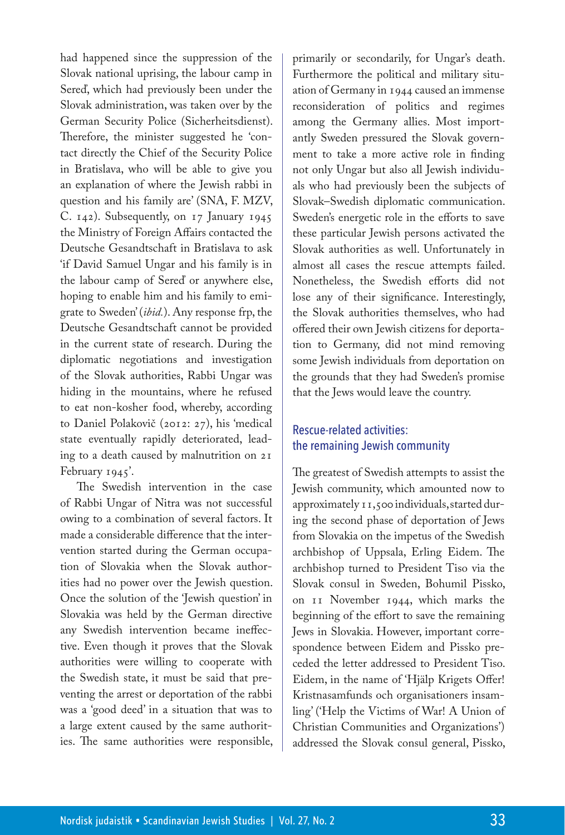had happened since the suppression of the Slovak national uprising, the labour camp in Sereď, which had previously been under the Slovak administration, was taken over by the German Security Police (Sicherheitsdienst). Therefore, the minister suggested he 'contact directly the Chief of the Security Police in Bratislava, who will be able to give you an explanation of where the Jewish rabbi in question and his family are' (SNA, F. MZV, C. 142). Subsequently, on 17 January 1945 the Ministry of Foreign Affairs contacted the Deutsche Gesandtschaft in Bratislava to ask 'if David Samuel Ungar and his family is in the labour camp of Sereď or anywhere else, hoping to enable him and his family to emigrate to Sweden' (*ibid.*). Any response frp, the Deutsche Gesandtschaft cannot be provided in the current state of research. During the diplomatic negotiations and investigation of the Slovak authorities, Rabbi Ungar was hiding in the mountains, where he refused to eat non-kosher food, whereby, according to Daniel Polakovič (2012: 27), his 'medical state eventually rapidly deteriorated, leading to a death caused by malnutrition on 21 February 1945'.

The Swedish intervention in the case of Rabbi Ungar of Nitra was not successful owing to a combination of several factors. It made a considerable difference that the intervention started during the German occupation of Slovakia when the Slovak authorities had no power over the Jewish question. Once the solution of the 'Jewish question' in Slovakia was held by the German directive any Swedish intervention became ineffective. Even though it proves that the Slovak authorities were willing to cooperate with the Swedish state, it must be said that preventing the arrest or deportation of the rabbi was a 'good deed' in a situation that was to a large extent caused by the same authorities. The same authorities were responsible,

primarily or secondarily, for Ungar's death. Furthermore the political and military situation of Germany in 1944 caused an immense reconsideration of politics and regimes among the Germany allies. Most importantly Sweden pressured the Slovak government to take a more active role in finding not only Ungar but also all Jewish individuals who had previously been the subjects of Slovak–Swedish diplomatic communication. Sweden's energetic role in the efforts to save these particular Jewish persons activated the Slovak authorities as well. Unfortunately in almost all cases the rescue attempts failed. Nonetheless, the Swedish efforts did not lose any of their significance. Interestingly, the Slovak authorities themselves, who had offered their own Jewish citizens for deportation to Germany, did not mind removing some Jewish individuals from deportation on the grounds that they had Sweden's promise that the Jews would leave the country.

# Rescue-related activities: the remaining Jewish community

The greatest of Swedish attempts to assist the Jewish community, which amounted now to approximately 11,500 individuals, started during the second phase of deportation of Jews from Slovakia on the impetus of the Swedish archbishop of Uppsala, Erling Eidem. The archbishop turned to President Tiso via the Slovak consul in Sweden, Bohumil Pissko, on 11 November 1944, which marks the beginning of the effort to save the remaining Jews in Slovakia. However, important correspondence between Eidem and Pissko preceded the letter addressed to President Tiso. Eidem, in the name of 'Hjälp Krigets Offer! Kristnasamfunds och organisationers insamling' ('Help the Victims of War! A Union of Christian Communities and Organizations') addressed the Slovak consul general, Pissko,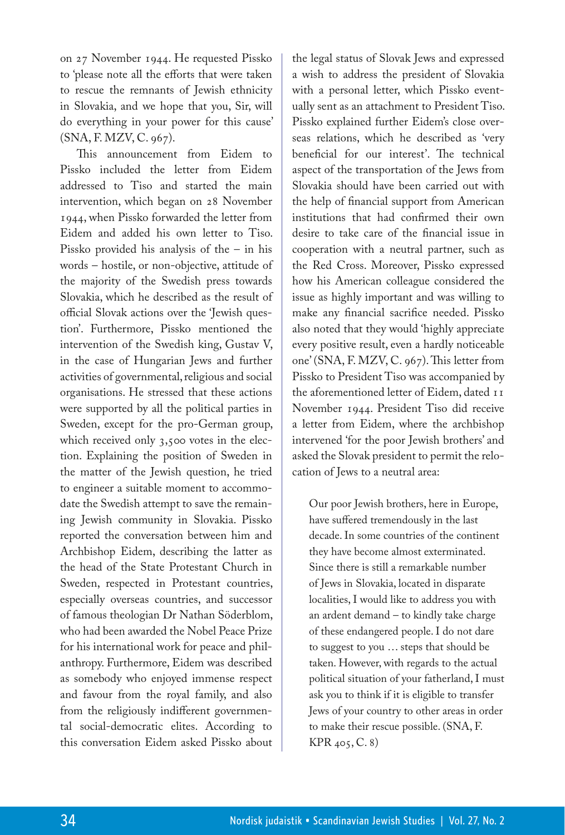on 27 November 1944. He requested Pissko to 'please note all the efforts that were taken to rescue the remnants of Jewish ethnicity in Slovakia, and we hope that you, Sir, will do everything in your power for this cause' (SNA, F. MZV, C. 967).

This announcement from Eidem to Pissko included the letter from Eidem addressed to Tiso and started the main intervention, which began on 28 November 1944, when Pissko forwarded the letter from Eidem and added his own letter to Tiso. Pissko provided his analysis of the – in his words – hostile, or non-objective, attitude of the majority of the Swedish press towards Slovakia, which he described as the result of official Slovak actions over the 'Jewish question'. Furthermore, Pissko mentioned the intervention of the Swedish king, Gustav V, in the case of Hungarian Jews and further activities of governmental, religious and social organisations. He stressed that these actions were supported by all the political parties in Sweden, except for the pro-German group, which received only 3,500 votes in the election. Explaining the position of Sweden in the matter of the Jewish question, he tried to engineer a suitable moment to accommodate the Swedish attempt to save the remaining Jewish community in Slovakia. Pissko reported the conversation between him and Archbishop Eidem, describing the latter as the head of the State Protestant Church in Sweden, respected in Protestant countries, especially overseas countries, and successor of famous theologian Dr Nathan Söderblom, who had been awarded the Nobel Peace Prize for his international work for peace and philanthropy. Furthermore, Eidem was described as somebody who enjoyed immense respect and favour from the royal family, and also from the religiously indifferent governmental social-democratic elites. According to this conversation Eidem asked Pissko about

the legal status of Slovak Jews and expressed a wish to address the president of Slovakia with a personal letter, which Pissko eventually sent as an attachment to President Tiso. Pissko explained further Eidem's close overseas relations, which he described as 'very beneficial for our interest'. The technical aspect of the transportation of the Jews from Slovakia should have been carried out with the help of financial support from American institutions that had confirmed their own desire to take care of the financial issue in cooperation with a neutral partner, such as the Red Cross. Moreover, Pissko expressed how his American colleague considered the issue as highly important and was willing to make any financial sacrifice needed. Pissko also noted that they would 'highly appreciate every positive result, even a hardly noticeable one' (SNA, F. MZV, C. 967). This letter from Pissko to President Tiso was accompanied by the aforementioned letter of Eidem, dated 11 November 1944. President Tiso did receive a letter from Eidem, where the archbishop intervened 'for the poor Jewish brothers' and asked the Slovak president to permit the relocation of Jews to a neutral area:

Our poor Jewish brothers, here in Europe, have suffered tremendously in the last decade. In some countries of the continent they have become almost exterminated. Since there is still a remarkable number of Jews in Slovakia, located in disparate localities, I would like to address you with an ardent demand – to kindly take charge of these endangered people. I do not dare to suggest to you … steps that should be taken. However, with regards to the actual political situation of your fatherland, I must ask you to think if it is eligible to transfer Jews of your country to other areas in order to make their rescue possible. (SNA, F. KPR 405, C. 8)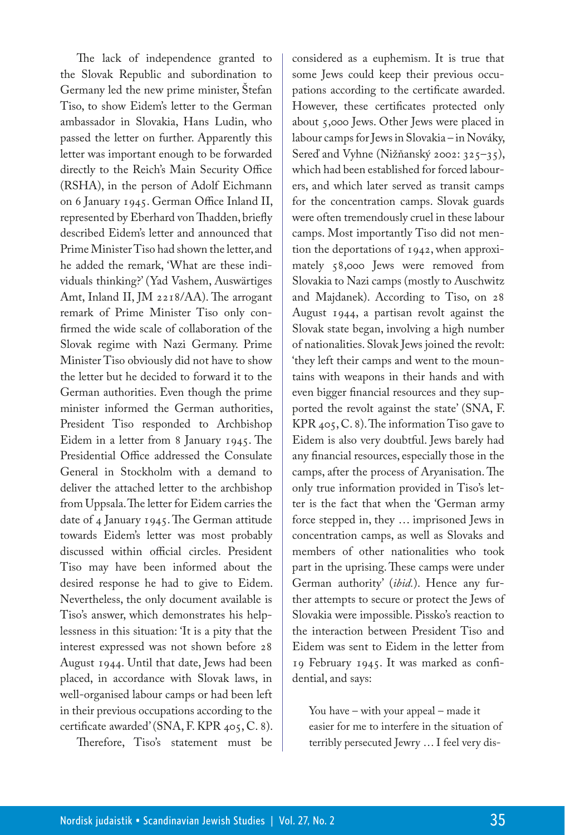The lack of independence granted to the Slovak Republic and subordination to Germany led the new prime minister, Štefan Tiso, to show Eidem's letter to the German ambassador in Slovakia, Hans Ludin, who passed the letter on further. Apparently this letter was important enough to be forwarded directly to the Reich's Main Security Office (RSHA), in the person of Adolf Eichmann on 6 January 1945. German Office Inland II, represented by Eberhard von Thadden, briefly described Eidem's letter and announced that Prime Minister Tiso had shown the letter, and he added the remark, 'What are these individuals thinking?' (Yad Vashem, Auswärtiges Amt, Inland II, JM 2218/AA). The arrogant remark of Prime Minister Tiso only confirmed the wide scale of collaboration of the Slovak regime with Nazi Germany. Prime Minister Tiso obviously did not have to show the letter but he decided to forward it to the German authorities. Even though the prime minister informed the German authorities, President Tiso responded to Archbishop Eidem in a letter from 8 January 1945. The Presidential Office addressed the Consulate General in Stockholm with a demand to deliver the attached letter to the archbishop from Uppsala. The letter for Eidem carries the date of 4 January 1945. The German attitude towards Eidem's letter was most probably discussed within official circles. President Tiso may have been informed about the desired response he had to give to Eidem. Nevertheless, the only document available is Tiso's answer, which demonstrates his helplessness in this situation: 'It is a pity that the interest expressed was not shown before 28 August 1944. Until that date, Jews had been placed, in accordance with Slovak laws, in well-organised labour camps or had been left in their previous occupations according to the certificate awarded' (SNA, F. KPR 405, C. 8).

Therefore, Tiso's statement must be

considered as a euphemism. It is true that some Jews could keep their previous occupations according to the certificate awarded. However, these certificates protected only about 5,000 Jews. Other Jews were placed in labour camps for Jews in Slovakia – in Nováky, Sereď and Vyhne (Nižňanský 2002: 325–35), which had been established for forced labourers, and which later served as transit camps for the concentration camps. Slovak guards were often tremendously cruel in these labour camps. Most importantly Tiso did not mention the deportations of 1942, when approximately 58,000 Jews were removed from Slovakia to Nazi camps (mostly to Auschwitz and Majdanek). According to Tiso, on 28 August 1944, a partisan revolt against the Slovak state began, involving a high number of nationalities. Slovak Jews joined the revolt: 'they left their camps and went to the mountains with weapons in their hands and with even bigger financial resources and they supported the revolt against the state' (SNA, F. KPR 405, C. 8). The information Tiso gave to Eidem is also very doubtful. Jews barely had any financial resources, especially those in the camps, after the process of Aryanisation. The only true information provided in Tiso's letter is the fact that when the 'German army force stepped in, they … imprisoned Jews in concentration camps, as well as Slovaks and members of other nationalities who took part in the uprising. These camps were under German authority' (*ibid.*). Hence any further attempts to secure or protect the Jews of Slovakia were impossible. Pissko's reaction to the interaction between President Tiso and Eidem was sent to Eidem in the letter from 19 February 1945. It was marked as confidential, and says:

You have – with your appeal – made it easier for me to interfere in the situation of terribly persecuted Jewry … I feel very dis-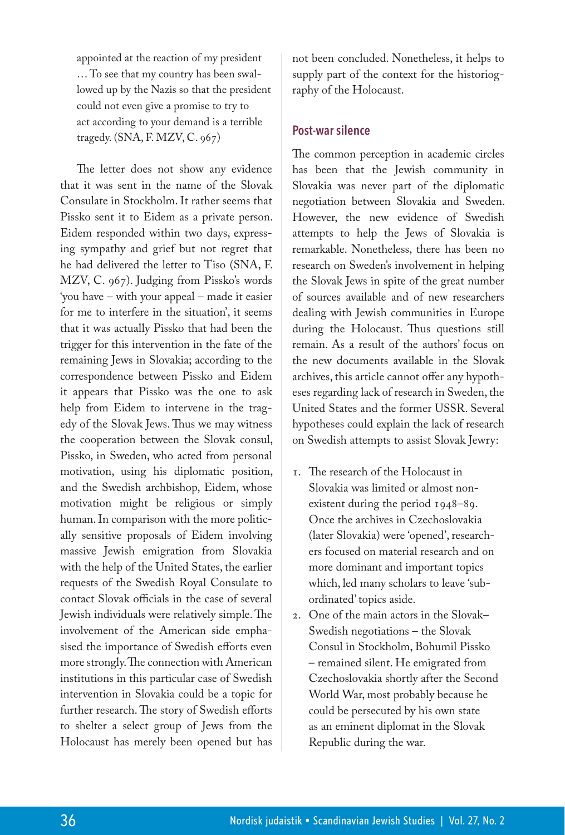appointed at the reaction of my president … To see that my country has been swallowed up by the Nazis so that the president could not even give a promise to try to act according to your demand is a terrible tragedy. (SNA, F. MZV, C. 967)

The letter does not show any evidence that it was sent in the name of the Slovak Consulate in Stockholm. It rather seems that Pissko sent it to Eidem as a private person. Eidem responded within two days, expressing sympathy and grief but not regret that he had delivered the letter to Tiso (SNA, F. MZV, C. 967). Judging from Pissko's words 'you have – with your appeal – made it easier for me to interfere in the situation', it seems that it was actually Pissko that had been the trigger for this intervention in the fate of the remaining Jews in Slovakia; according to the correspondence between Pissko and Eidem it appears that Pissko was the one to ask help from Eidem to intervene in the tragedy of the Slovak Jews. Thus we may witness the cooperation between the Slovak consul, Pissko, in Sweden, who acted from personal motivation, using his diplomatic position, and the Swedish archbishop, Eidem, whose motivation might be religious or simply human. In comparison with the more politically sensitive proposals of Eidem involving massive Jewish emigration from Slovakia with the help of the United States, the earlier requests of the Swedish Royal Consulate to contact Slovak officials in the case of several Jewish individuals were relatively simple. The involvement of the American side emphasised the importance of Swedish efforts even more strongly. The connection with American institutions in this particular case of Swedish intervention in Slovakia could be a topic for further research. The story of Swedish efforts to shelter a select group of Jews from the Holocaust has merely been opened but has

not been concluded. Nonetheless, it helps to supply part of the context for the historiography of the Holocaust.

### **Post-war silence**

The common perception in academic circles has been that the Jewish community in Slovakia was never part of the diplomatic negotiation between Slovakia and Sweden. However, the new evidence of Swedish attempts to help the Jews of Slovakia is remarkable. Nonetheless, there has been no research on Sweden's involvement in helping the Slovak Jews in spite of the great number of sources available and of new researchers dealing with Jewish communities in Europe during the Holocaust. Thus questions still remain. As a result of the authors' focus on the new documents available in the Slovak archives, this article cannot offer any hypotheses regarding lack of research in Sweden, the United States and the former USSR. Several hypotheses could explain the lack of research on Swedish attempts to assist Slovak Jewry:

- 1. The research of the Holocaust in Slovakia was limited or almost nonexistent during the period 1948–89. Once the archives in Czechoslovakia (later Slovakia) were 'opened', researchers focused on material research and on more dominant and important topics which, led many scholars to leave 'subordinated' topics aside.
- 2. One of the main actors in the Slovak– Swedish negotiations – the Slovak Consul in Stockholm, Bohumil Pissko – remained silent. He emigrated from Czechoslovakia shortly after the Second World War, most probably because he could be persecuted by his own state as an eminent diplomat in the Slovak Republic during the war.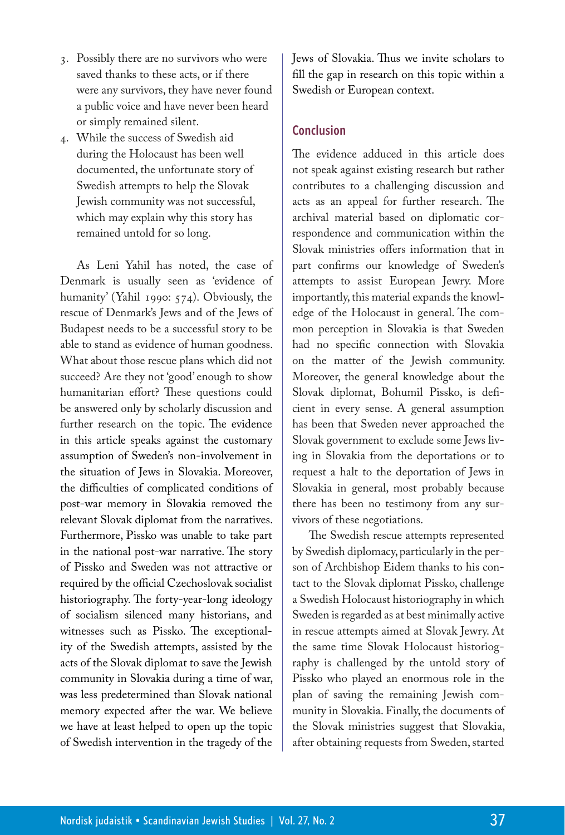- 3. Possibly there are no survivors who were saved thanks to these acts, or if there were any survivors, they have never found a public voice and have never been heard or simply remained silent.
- 4. While the success of Swedish aid during the Holocaust has been well documented, the unfortunate story of Swedish attempts to help the Slovak Jewish community was not successful, which may explain why this story has remained untold for so long.

As Leni Yahil has noted, the case of Denmark is usually seen as 'evidence of humanity' (Yahil 1990: 574). Obviously, the rescue of Denmark's Jews and of the Jews of Budapest needs to be a successful story to be able to stand as evidence of human goodness. What about those rescue plans which did not succeed? Are they not 'good' enough to show humanitarian effort? These questions could be answered only by scholarly discussion and further research on the topic. The evidence in this article speaks against the customary assumption of Sweden's non-involvement in the situation of Jews in Slovakia. Moreover, the difficulties of complicated conditions of post-war memory in Slovakia removed the relevant Slovak diplomat from the narratives. Furthermore, Pissko was unable to take part in the national post-war narrative. The story of Pissko and Sweden was not attractive or required by the official Czechoslovak socialist historiography. The forty-year-long ideology of socialism silenced many historians, and witnesses such as Pissko. The exceptionality of the Swedish attempts, assisted by the acts of the Slovak diplomat to save the Jewish community in Slovakia during a time of war, was less predetermined than Slovak national memory expected after the war. We believe we have at least helped to open up the topic of Swedish intervention in the tragedy of the

Jews of Slovakia. Thus we invite scholars to fill the gap in research on this topic within a Swedish or European context.

# **Conclusion**

The evidence adduced in this article does not speak against existing research but rather contributes to a challenging discussion and acts as an appeal for further research. The archival material based on diplomatic correspondence and communication within the Slovak ministries offers information that in part confirms our knowledge of Sweden's attempts to assist European Jewry. More importantly, this material expands the knowledge of the Holocaust in general. The common perception in Slovakia is that Sweden had no specific connection with Slovakia on the matter of the Jewish community. Moreover, the general knowledge about the Slovak diplomat, Bohumil Pissko, is deficient in every sense. A general assumption has been that Sweden never approached the Slovak government to exclude some Jews living in Slovakia from the deportations or to request a halt to the deportation of Jews in Slovakia in general, most probably because there has been no testimony from any survivors of these negotiations.

The Swedish rescue attempts represented by Swedish diplomacy, particularly in the person of Archbishop Eidem thanks to his contact to the Slovak diplomat Pissko, challenge a Swedish Holocaust historiography in which Sweden is regarded as at best minimally active in rescue attempts aimed at Slovak Jewry. At the same time Slovak Holocaust historiography is challenged by the untold story of Pissko who played an enormous role in the plan of saving the remaining Jewish community in Slovakia. Finally, the documents of the Slovak ministries suggest that Slovakia, after obtaining requests from Sweden, started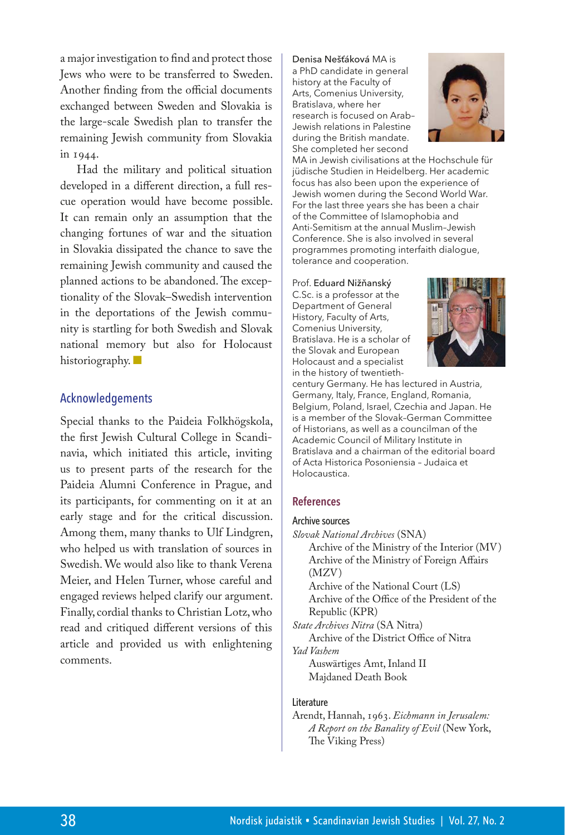a major investigation to find and protect those Jews who were to be transferred to Sweden. Another finding from the official documents exchanged between Sweden and Slovakia is the large-scale Swedish plan to transfer the remaining Jewish community from Slovakia in 1944.

Had the military and political situation developed in a different direction, a full rescue operation would have become possible. It can remain only an assumption that the changing fortunes of war and the situation in Slovakia dissipated the chance to save the remaining Jewish community and caused the planned actions to be abandoned. The exceptionality of the Slovak–Swedish intervention in the deportations of the Jewish community is startling for both Swedish and Slovak national memory but also for Holocaust historiography.

### Acknowledgements

Special thanks to the Paideia Folkhögskola, the first Jewish Cultural College in Scandinavia, which initiated this article, inviting us to present parts of the research for the Paideia Alumni Conference in Prague, and its participants, for commenting on it at an early stage and for the critical discussion. Among them, many thanks to Ulf Lindgren, who helped us with translation of sources in Swedish. We would also like to thank Verena Meier, and Helen Turner, whose careful and engaged reviews helped clarify our argument. Finally, cordial thanks to Christian Lotz, who read and critiqued different versions of this article and provided us with enlightening comments.

#### Denisa Nešťáková MA is a PhD candidate in general history at the Faculty of Arts, Comenius University, Bratislava, where her research is focused on Arab– Jewish relations in Palestine during the British mandate. She completed her second



MA in Jewish civilisations at the Hochschule für jüdische Studien in Heidelberg. Her academic focus has also been upon the experience of Jewish women during the Second World War. For the last three years she has been a chair of the Committee of Islamophobia and Anti-Semitism at the annual Muslim–Jewish Conference. She is also involved in several programmes promoting interfaith dialogue, tolerance and cooperation.

#### Prof. Eduard Nižňanský

<C.Sc>. is a professor at the Department of General History, Faculty of Arts, Comenius University, Bratislava. He is a scholar of the Slovak and European Holocaust and a specialist in the history of twentieth-



century Germany. He has lectured in Austria, Germany, Italy, France, England, Romania, Belgium, Poland, Israel, Czechia and Japan. He is a member of the Slovak–German Committee of Historians, as well as a councilman of the Academic Council of Military Institute in Bratislava and a chairman of the editorial board of Acta Historica Posoniensia – Judaica et Holocaustica.

#### **References**

#### Archive sources

*Slovak National Archives* (SNA) Archive of the Ministry of the Interior (MV) Archive of the Ministry of Foreign Affairs (MZV)

Archive of the National Court (LS) Archive of the Office of the President of the Republic (KPR)

*State Archives Nitra* (SA Nitra) Archive of the District Office of Nitra *Yad Vashem*

Auswärtiges Amt, Inland II Majdaned Death Book

#### Literature

Arendt, Hannah, 1963. *Eichmann in Jerusalem: A Report on the Banality of Evil* (New York, The Viking Press)